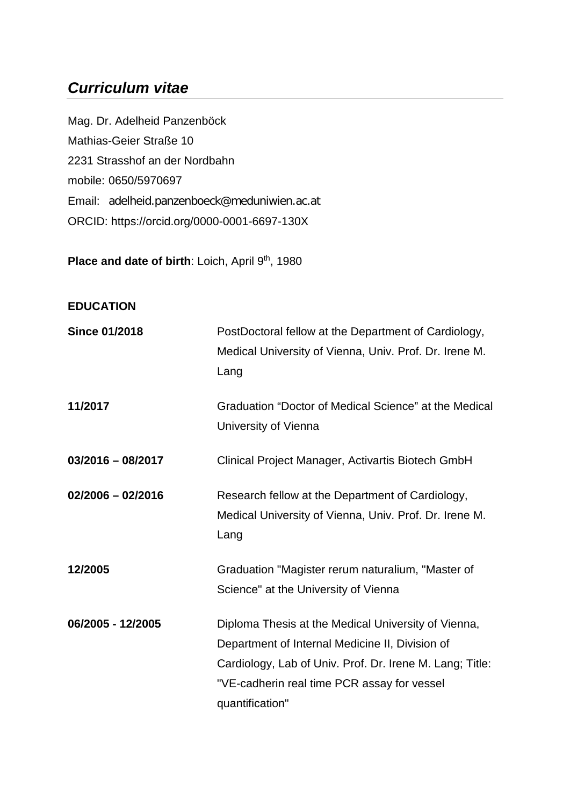# *Curriculum vitae*

Mag. Dr. Adelheid Panzenböck Mathias-Geier Straße 10 2231 Strasshof an der Nordbahn mobile: 0650/5970697 Email: adelheid.panzenboeck@meduniwien.ac.at ORCID: https://orcid.org/0000-0001-6697-130X

Place and date of birth: Loich, April 9th, 1980

## **EDUCATION**

| <b>Since 01/2018</b> | PostDoctoral fellow at the Department of Cardiology,<br>Medical University of Vienna, Univ. Prof. Dr. Irene M.<br>Lang                                                                                                               |
|----------------------|--------------------------------------------------------------------------------------------------------------------------------------------------------------------------------------------------------------------------------------|
| 11/2017              | Graduation "Doctor of Medical Science" at the Medical<br>University of Vienna                                                                                                                                                        |
| $03/2016 - 08/2017$  | Clinical Project Manager, Activartis Biotech GmbH                                                                                                                                                                                    |
| $02/2006 - 02/2016$  | Research fellow at the Department of Cardiology,<br>Medical University of Vienna, Univ. Prof. Dr. Irene M.<br>Lang                                                                                                                   |
| 12/2005              | Graduation "Magister rerum naturalium, "Master of<br>Science" at the University of Vienna                                                                                                                                            |
| 06/2005 - 12/2005    | Diploma Thesis at the Medical University of Vienna,<br>Department of Internal Medicine II, Division of<br>Cardiology, Lab of Univ. Prof. Dr. Irene M. Lang; Title:<br>"VE-cadherin real time PCR assay for vessel<br>quantification" |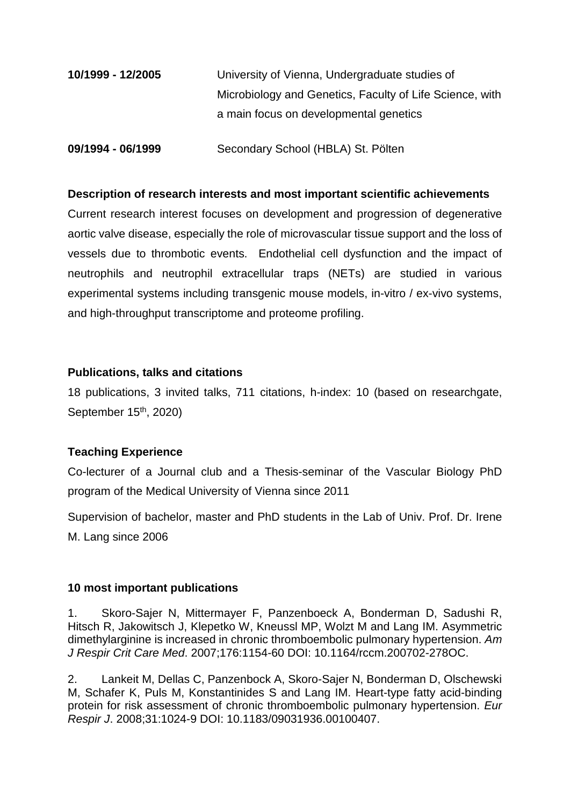| 10/1999 - 12/2005 | University of Vienna, Undergraduate studies of           |
|-------------------|----------------------------------------------------------|
|                   | Microbiology and Genetics, Faculty of Life Science, with |
|                   | a main focus on developmental genetics                   |
|                   |                                                          |

**09/1994 - 06/1999** Secondary School (HBLA) St. Pölten

#### **Description of research interests and most important scientific achievements**

Current research interest focuses on development and progression of degenerative aortic valve disease, especially the role of microvascular tissue support and the loss of vessels due to thrombotic events. Endothelial cell dysfunction and the impact of neutrophils and neutrophil extracellular traps (NETs) are studied in various experimental systems including transgenic mouse models, in-vitro / ex-vivo systems, and high-throughput transcriptome and proteome profiling.

#### **Publications, talks and citations**

18 publications, 3 invited talks, 711 citations, h-index: 10 (based on researchgate, September 15<sup>th</sup>, 2020)

## **Teaching Experience**

Co-lecturer of a Journal club and a Thesis-seminar of the Vascular Biology PhD program of the Medical University of Vienna since 2011

Supervision of bachelor, master and PhD students in the Lab of Univ. Prof. Dr. Irene M. Lang since 2006

## **10 most important publications**

1. Skoro-Sajer N, Mittermayer F, Panzenboeck A, Bonderman D, Sadushi R, Hitsch R, Jakowitsch J, Klepetko W, Kneussl MP, Wolzt M and Lang IM. Asymmetric dimethylarginine is increased in chronic thromboembolic pulmonary hypertension. *Am J Respir Crit Care Med*. 2007;176:1154-60 DOI: 10.1164/rccm.200702-278OC.

2. Lankeit M, Dellas C, Panzenbock A, Skoro-Sajer N, Bonderman D, Olschewski M, Schafer K, Puls M, Konstantinides S and Lang IM. Heart-type fatty acid-binding protein for risk assessment of chronic thromboembolic pulmonary hypertension. *Eur Respir J*. 2008;31:1024-9 DOI: 10.1183/09031936.00100407.